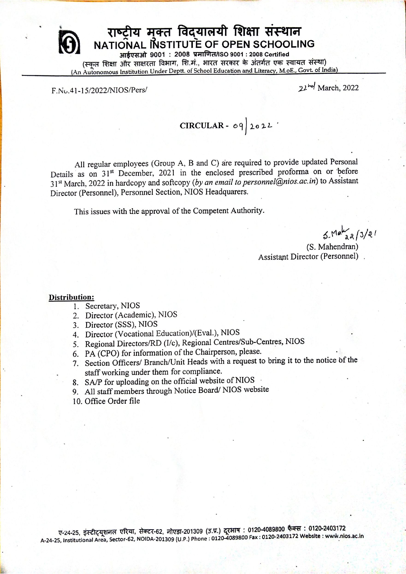

## राष्ट्रीय मुक्त विद्यालयी शिक्षा संस्थान NATIONAL INSTITUTE OF OPEN SCHOOLING

आईएसओ 9001: 2008 प्रमाणित/ISO 9001: 2008 Certified (स्कूल शिक्षा और साक्षरता विभाग, शि.मं., भारत सरकार के अंतर्गत एक स्वायत संस्था) (An Autonomous Institution Under Deptt. of School Education and Literacy, M.oE., Govt. of India)

F.No.41-15/2022/NIOS/Pers/

22 hd March, 2022

CIRCULAR - 09 2022

All regular employees (Group A, B and C) are required to provide updated Personal Details as on 31<sup>st</sup> December, 2021 in the enclosed prescribed proforma on or before 31<sup>st</sup> March, 2022 in hardcopy and softcopy (by an email to personnel@nios.ac.in) to Assistant Director (Personnel), Personnel Section, NIOS Headquarers.

This issues with the approval of the Competent Authority.

 $5MeV_{aa}/3/21$ 

(S. Mahendran) Assistant Director (Personnel).

#### Distribution:

- 1. Secretary, NIOS
- 2. Director (Academic), NIOS
- 3. Director (SSS), NIOS
- 4. Director (Vocational Education)/(Eval.), NIOS
- 5. Regional Directors/RD (I/c), Regional Centres/Sub-Centres, NIOS
- 6. PA (CPO) for information of the Chairperson, please.
- 7. Section Officers/ Branch/Unit Heads with a request to bring it to the notice of the staff working under them for compliance.
- 8. SA/P for uploading on the official website of NIOS
- 9. All staff members through Notice Board/NIOS website
- 10. Office Order file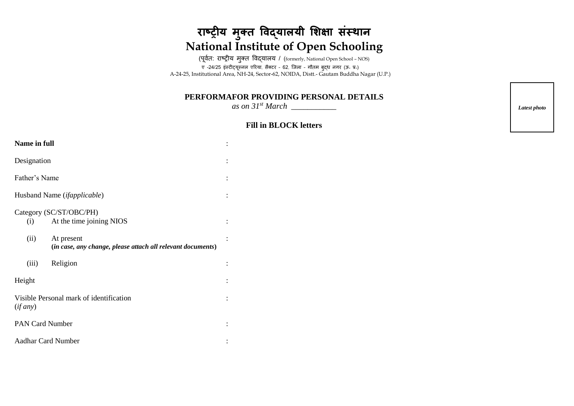# **राष्ट्रीय म ु क्त विद्यालयी शिक्षा संस्थान National Institute of Open Schooling**

(पूर्वत: राष्ट्रीय मुक्त विद्यालय / (formerly, National Open School - NOS) ए -24/25 इंस्टीट्यूस्नल एररया, सैक्टर – 62, जिला – गौतम बुद्ध नगर (ऊ॰ प्र॰) A-24-25, Institutional Area, NH-24, Sector-62, NOIDA, Distt.- Gautam Buddha Nagar (U.P.)

### **PERFORMAFOR PROVIDING PERSONAL DETAILS**

*as on 31st March \_\_\_\_\_\_\_\_\_\_\_*

#### **Fill in BLOCK letters**

| <b>Name in full</b>                                 |                                                                           |  |  |  |  |  |  |
|-----------------------------------------------------|---------------------------------------------------------------------------|--|--|--|--|--|--|
| Designation                                         |                                                                           |  |  |  |  |  |  |
| Father's Name                                       |                                                                           |  |  |  |  |  |  |
| Husband Name ( <i>ifapplicable</i> )                |                                                                           |  |  |  |  |  |  |
| Category (SC/ST/OBC/PH)                             |                                                                           |  |  |  |  |  |  |
| (i)                                                 | At the time joining NIOS                                                  |  |  |  |  |  |  |
| (ii)                                                | At present<br>(in case, any change, please attach all relevant documents) |  |  |  |  |  |  |
| (iii)                                               | Religion                                                                  |  |  |  |  |  |  |
| Height                                              |                                                                           |  |  |  |  |  |  |
| Visible Personal mark of identification<br>(if any) |                                                                           |  |  |  |  |  |  |
| <b>PAN Card Number</b>                              |                                                                           |  |  |  |  |  |  |
| <b>Aadhar Card Number</b>                           |                                                                           |  |  |  |  |  |  |

*Latest photo*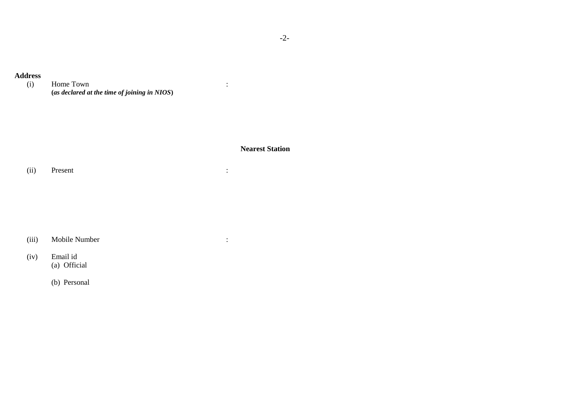# **Address**

Home Town **(***as declared at the time of joining in NIOS***)**

**Nearest Station**

:

(ii) Present :

(iii) Mobile Number :

(iv) Email id (a) Official

(b) Personal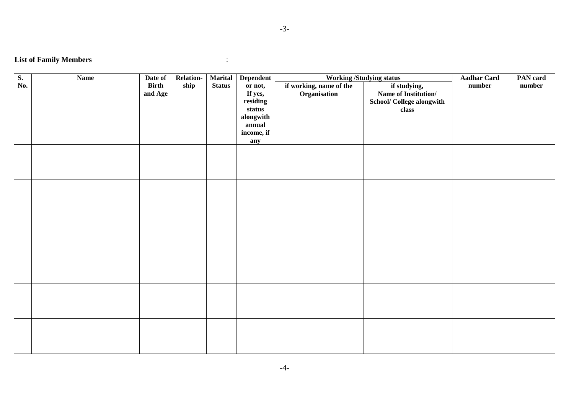-3-

## **List of Family Members** :

| $\overline{\mathbf{S}}$ . | <b>Name</b> | Date of      | Relation- | <b>Marital</b> | <b>Dependent</b> | <b>Working /Studying status</b> | <b>Aadhar Card</b>        | PAN card |        |
|---------------------------|-------------|--------------|-----------|----------------|------------------|---------------------------------|---------------------------|----------|--------|
| No.                       |             | <b>Birth</b> | ship      | <b>Status</b>  | or not,          | if working, name of the         | if studying,              | number   | number |
|                           |             | and Age      |           |                | If yes,          | Organisation                    | Name of Institution/      |          |        |
|                           |             |              |           |                | residing         |                                 | School/ College alongwith |          |        |
|                           |             |              |           |                | status           |                                 | class                     |          |        |
|                           |             |              |           |                | alongwith        |                                 |                           |          |        |
|                           |             |              |           |                | annual           |                                 |                           |          |        |
|                           |             |              |           |                | income, if       |                                 |                           |          |        |
|                           |             |              |           |                | any              |                                 |                           |          |        |
|                           |             |              |           |                |                  |                                 |                           |          |        |
|                           |             |              |           |                |                  |                                 |                           |          |        |
|                           |             |              |           |                |                  |                                 |                           |          |        |
|                           |             |              |           |                |                  |                                 |                           |          |        |
|                           |             |              |           |                |                  |                                 |                           |          |        |
|                           |             |              |           |                |                  |                                 |                           |          |        |
|                           |             |              |           |                |                  |                                 |                           |          |        |
|                           |             |              |           |                |                  |                                 |                           |          |        |
|                           |             |              |           |                |                  |                                 |                           |          |        |
|                           |             |              |           |                |                  |                                 |                           |          |        |
|                           |             |              |           |                |                  |                                 |                           |          |        |
|                           |             |              |           |                |                  |                                 |                           |          |        |
|                           |             |              |           |                |                  |                                 |                           |          |        |
|                           |             |              |           |                |                  |                                 |                           |          |        |
|                           |             |              |           |                |                  |                                 |                           |          |        |
|                           |             |              |           |                |                  |                                 |                           |          |        |
|                           |             |              |           |                |                  |                                 |                           |          |        |
|                           |             |              |           |                |                  |                                 |                           |          |        |
|                           |             |              |           |                |                  |                                 |                           |          |        |
|                           |             |              |           |                |                  |                                 |                           |          |        |
|                           |             |              |           |                |                  |                                 |                           |          |        |
|                           |             |              |           |                |                  |                                 |                           |          |        |
|                           |             |              |           |                |                  |                                 |                           |          |        |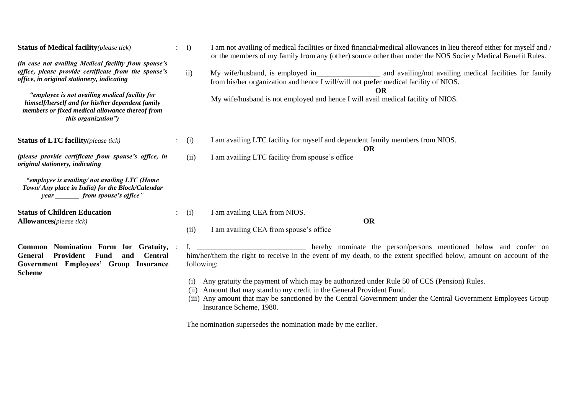| <b>Status of Medical facility</b> (please tick)                                                                                                                                                                                                                                                                                                    |  | i)                                                                                                                                                                                                    | I am not availing of medical facilities or fixed financial/medical allowances in lieu thereof either for myself and /<br>or the members of my family from any (other) source other than under the NOS Society Medical Benefit Rules.                                                                        |  |  |  |  |
|----------------------------------------------------------------------------------------------------------------------------------------------------------------------------------------------------------------------------------------------------------------------------------------------------------------------------------------------------|--|-------------------------------------------------------------------------------------------------------------------------------------------------------------------------------------------------------|-------------------------------------------------------------------------------------------------------------------------------------------------------------------------------------------------------------------------------------------------------------------------------------------------------------|--|--|--|--|
| (in case not availing Medical facility from spouse's<br>office, please provide certificate from the spouse's<br>office, in original stationery, indicating<br>"employee is not availing medical facility for<br>himself/herself and for his/her dependent family<br>members or fixed medical allowance thereof from<br><i>this organization"</i> ) |  | ii)                                                                                                                                                                                                   | My wife/husband, is employed in and availing/not availing medical facilities for family<br>from his/her organization and hence I will/will not prefer medical facility of NIOS.<br>My wife/husband is not employed and hence I will avail medical facility of NIOS.                                         |  |  |  |  |
| <b>Status of LTC facility</b> (please tick)                                                                                                                                                                                                                                                                                                        |  | (i)                                                                                                                                                                                                   | I am availing LTC facility for myself and dependent family members from NIOS.<br><b>OR</b>                                                                                                                                                                                                                  |  |  |  |  |
| (please provide certificate from spouse's office, in<br>original stationery, indicating                                                                                                                                                                                                                                                            |  | (ii)                                                                                                                                                                                                  | I am availing LTC facility from spouse's office                                                                                                                                                                                                                                                             |  |  |  |  |
| "employee is availing/not availing LTC (Home<br>Town/ Any place in India) for the Block/Calendar<br>year _________ from spouse's office"                                                                                                                                                                                                           |  |                                                                                                                                                                                                       |                                                                                                                                                                                                                                                                                                             |  |  |  |  |
| <b>Status of Children Education</b><br><b>Allowances</b> (please tick)                                                                                                                                                                                                                                                                             |  | (i)                                                                                                                                                                                                   | I am availing CEA from NIOS.<br><b>OR</b>                                                                                                                                                                                                                                                                   |  |  |  |  |
|                                                                                                                                                                                                                                                                                                                                                    |  | (ii)                                                                                                                                                                                                  | I am availing CEA from spouse's office                                                                                                                                                                                                                                                                      |  |  |  |  |
| Common Nomination Form for Gratuity,<br>Provident<br>Fund<br><b>Central</b><br><b>General</b><br>and<br>Government Employees' Group Insurance<br><b>Scheme</b>                                                                                                                                                                                     |  | hereby nominate the person/persons mentioned below and confer on<br>him/her/them the right to receive in the event of my death, to the extent specified below, amount on account of the<br>following: |                                                                                                                                                                                                                                                                                                             |  |  |  |  |
|                                                                                                                                                                                                                                                                                                                                                    |  | (i)<br>(ii)                                                                                                                                                                                           | Any gratuity the payment of which may be authorized under Rule 50 of CCS (Pension) Rules.<br>Amount that may stand to my credit in the General Provident Fund.<br>(iii) Any amount that may be sanctioned by the Central Government under the Central Government Employees Group<br>Insurance Scheme, 1980. |  |  |  |  |

The nomination supersedes the nomination made by me earlier.